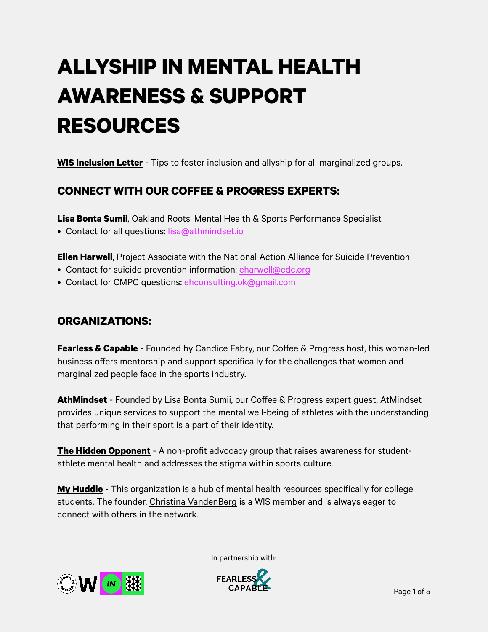# **ALLYSHIP IN MENTAL HEALTH AWARENESS & SUPPORT RESOURCES**

**[WIS Inclusion Letter](https://womeninsoccer.org/dear-members-wis-inclusion-letter/)** - Tips to foster inclusion and allyship for all marginalized groups.

# **CONNECT WITH OUR COFFEE & PROGRESS EXPERTS:**

**Lisa Bonta Sumii**, Oakland Roots' Mental Health & Sports Performance Specialist

• Contact for all questions: [lisa@athmindset.io](mailto:lisa@athmindset.io)

**Ellen Harwell**, Project Associate with the National Action Alliance for Suicide Prevention

- Contact for suicide prevention information: [eharwell@edc.org](mailto:eharwell@edc.org)
- Contact for CMPC questions: [ehconsulting.ok@gmail.com](mailto:ehconsulting.ok@gmail.com)

#### **ORGANIZATIONS:**

**[Fearless & Capable](https://www.fearlessandcapable.com/)** - Founded by Candice Fabry, our Coffee & Progress host, this woman-led business offers mentorship and support specifically for the challenges that women and marginalized people face in the sports industry.

**[AthMindset](https://athmindset.io/)** - Founded by Lisa Bonta Sumii, our Coffee & Progress expert guest, AtMindset provides unique services to support the mental well-being of athletes with the understanding that performing in their sport is a part of their identity.

**[The Hidden Opponent](https://thehiddenopponent.com/)** - A non-profit advocacy group that raises awareness for studentathlete mental health and addresses the stigma within sports culture.

**[My Huddle](https://www.joinmyhuddle.com/about)** - This organization is a hub of mental health resources specifically for college students. The founder, [Christina VandenBerg](https://womeninsoccer.org/community/?search_98ab9=MyHuddle) is a WIS member and is always eager to connect with others in the network.



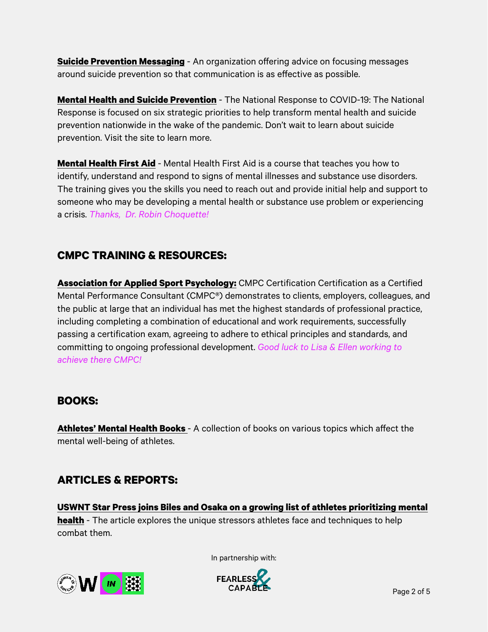**[Suicide Prevention Messaging](https://suicidepreventionmessaging.org/)** - An organization offering advice on focusing messages around suicide prevention so that communication is as effective as possible.

**[Mental Health and Suicide Prevention](https://nationalmentalhealthresponse.org/our-priorities)** - The National Response to COVID-19: The National Response is focused on six strategic priorities to help transform mental health and suicide prevention nationwide in the wake of the pandemic. Don't wait to learn about suicide prevention. Visit the site to learn more.

**[Mental Health First Aid](https://www.mentalhealthfirstaid.org/)** - Mental Health First Aid is a course that teaches you how to identify, understand and respond to signs of mental illnesses and substance use disorders. The training gives you the skills you need to reach out and provide initial help and support to someone who may be developing a mental health or substance use problem or experiencing a crisis. *Thanks, Dr. Robin Choquette!*

# **CMPC TRAINING & RESOURCES:**

**[Association for Applied Sport Psychology:](https://appliedsportpsych.org/certification/)** CMPC Certification Certification as a Certified Mental Performance Consultant (CMPC®) demonstrates to clients, employers, colleagues, and the public at large that an individual has met the highest standards of professional practice, including completing a combination of educational and work requirements, successfully passing a certification exam, agreeing to adhere to ethical principles and standards, and committing to ongoing professional development. *Good luck to Lisa & Ellen working to achieve there CMPC!*

#### **BOOKS:**

**[Athletes' Mental Health Books](https://www.alibris.com/search/books/subject/Athletes-Mental-health?qsort=&matches=32)** - A collection of books on various topics which affect the mental well-being of athletes.

# **ARTICLES & REPORTS:**

**[USWNT Star Press joins Biles and Osaka on a growing list of athletes prioritizing mental](https://www.goal.com/en-us/news/uswnt-star-press-joins-biles-and-osaka-on-growing-list-of/n9zmlbhnk92oznhmfm0pn1j5)  [health](https://www.goal.com/en-us/news/uswnt-star-press-joins-biles-and-osaka-on-growing-list-of/n9zmlbhnk92oznhmfm0pn1j5)** - The article explores the unique stressors athletes face and techniques to help combat them.



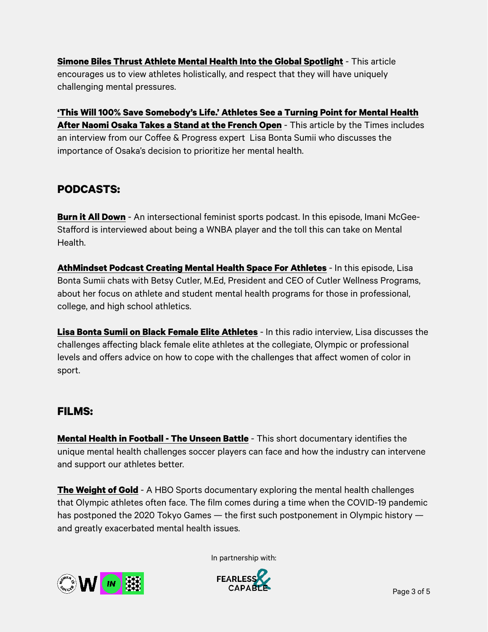**[Simone Biles Thrust Athlete Mental Health Into the Global Spotlight](https://www.teenvogue.com/story/simone-biles-athlete-mental-health)** - This article encourages us to view athletes holistically, and respect that they will have uniquely challenging mental pressures.

**['This Will 100% Save Somebody's Life.' Athletes See a Turning Point for Mental Health](https://finance.yahoo.com/finance/news/100-save-somebody-life-athletes-083413146.html)  [After Naomi Osaka Takes a Stand at the French Open](https://finance.yahoo.com/finance/news/100-save-somebody-life-athletes-083413146.html)** - This article by the Times includes an interview from our Coffee & Progress expert Lisa Bonta Sumii who discusses the importance of Osaka's decision to prioritize her mental health.

#### **PODCASTS:**

**[Burn it All Down](https://www.burnitalldownpod.com/episodes/interview-imani-mcgee-stafford-wnba-player-on-athletes-and-mental-health)** - An intersectional feminist sports podcast. In this episode, Imani McGee-Stafford is interviewed about being a WNBA player and the toll this can take on Mental Health.

**[AthMindset Podcast Creating Mental Health Space For Athletes](https://sportsepreneur.com/athmindset-mental-health-athletes-betsy-cutler/)** - In this episode, Lisa Bonta Sumii chats with Betsy Cutler, M.Ed, President and CEO of Cutler Wellness Programs, about her focus on athlete and student mental health programs for those in professional, college, and high school athletics.

**[Lisa Bonta Sumii on Black Female Elite Athletes](https://www.youtube.com/watch?v=r43KQ_kp9OU)** - In this radio interview, Lisa discusses the challenges affecting black female elite athletes at the collegiate, Olympic or professional levels and offers advice on how to cope with the challenges that affect women of color in sport.

#### **FILMS:**

**[Mental Health in Football - The Unseen Battle](https://www.youtube.com/watch?v=0M8y6UmCDgI)** - This short documentary identifies the unique mental health challenges soccer players can face and how the industry can intervene and support our athletes better.

**[The Weight of Gold](https://www.hbo.com/documentaries/the-weight-of-gold)** - A HBO Sports documentary exploring the mental health challenges that Olympic athletes often face. The film comes during a time when the COVID-19 pandemic has postponed the 2020 Tokyo Games — the first such postponement in Olympic history and greatly exacerbated mental health issues.



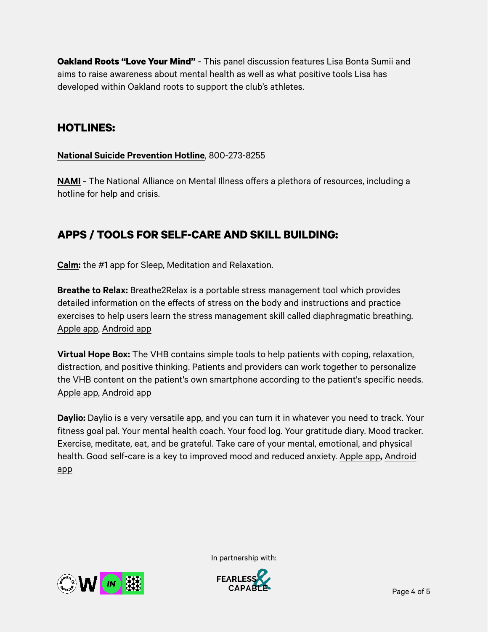**[Oakland Roots "Love Your Mind"](https://www.youtube.com/watch?v=4gtF-Ce6psI)** - This panel discussion features Lisa Bonta Sumii and aims to raise awareness about mental health as well as what positive tools Lisa has developed within Oakland roots to support the club's athletes.

#### **HOTLINES:**

#### **[National Suicide Prevention Hotline](https://suicidepreventionlifeline.org/)**, 800-273-8255

**[NAMI](https://www.nami.org/home)** - The National Alliance on Mental Illness offers a plethora of resources, including a hotline for help and crisis.

### **APPS / TOOLS FOR SELF-CARE AND SKILL BUILDING:**

**[Calm:](https://www.calm.com/)** the #1 app for Sleep, Meditation and Relaxation.

**Breathe to Relax:** Breathe2Relax is a portable stress management tool which provides detailed information on the effects of stress on the body and instructions and practice exercises to help users learn the stress management skill called diaphragmatic breathing. [Apple app](https://apps.apple.com/us/app/breathe2relax/id425720246), [Android app](https://play.google.com/store/apps/details?id=org.t2health.breathe2relax&hl=en_US&gl=US)

**Virtual Hope Box:** The VHB contains simple tools to help patients with coping, relaxation, distraction, and positive thinking. Patients and providers can work together to personalize the VHB content on the patient's own smartphone according to the patient's specific needs. [Apple app](https://apps.apple.com/us/app/virtual-hope-box/id825099621), [Android app](https://play.google.com/store/apps/details?id=com.t2.vhb&hl=en_US&gl=US)

**Daylio:** Daylio is a very versatile app, and you can turn it in whatever you need to track. Your fitness goal pal. Your mental health coach. Your food log. Your gratitude diary. Mood tracker. Exercise, meditate, eat, and be grateful. Take care of your mental, emotional, and physical health. Good self-care is a key to improved mood and reduced anxiety. [Apple app](https://apps.apple.com/us/app/daylio-journal/id1194023242)**,** [Android](https://play.google.com/store/apps/details?id=net.daylio&hl=en_US&gl=US)  [app](https://play.google.com/store/apps/details?id=net.daylio&hl=en_US&gl=US)